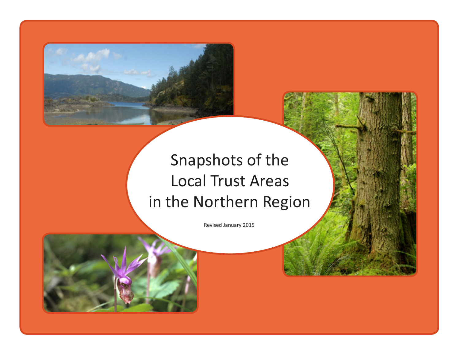

## Snapshots of the Local Trust Areas in the Northern Region

Revised January 2015

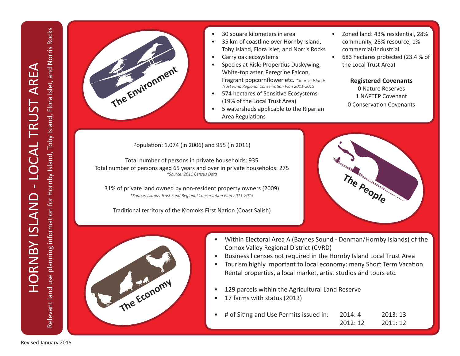Relevant land use planning information for Hornby Island, Toby Island, Flora Islet, and Norris Rocks



- 30 square kilometers in area
- 35 km of coastline over Hornby Island, Toby Island, Flora Islet, and Norris Rocks
- Garry oak ecosystems
- Species at Risk: Propertius Duskywing, White-top aster, Peregrine Falcon, Fragrant popcornflower etc. *\*Source: Islands Trust Fund Regional Conservation Plan 2011-2015*
- 574 hectares of Sensitive Ecosystems (19% of the Local Trust Area)
- 5 watersheds applicable to the Riparian Area Regulations
- Zoned land: 43% residential, 28% community, 28% resource, 1% commercial/industrial
- 683 hectares protected (23.4 % of the Local Trust Area)

**Registered Covenants** 0 Nature Reserves 1 NAPTEP Covenant 0 Conservation Covenants

Population: 1,074 (in 2006) and 955 (in 2011)

Total number of persons in private households: 935 Total number of persons aged 65 years and over in private households: 275 *\*Source: 2011 Census Data*

31% of private land owned by non-resident property owners (2009) *\*Source: Islands Trust Fund Regional Conservation Plan 2011-2015*

Traditional territory of the K'omoks First Nation (Coast Salish)





- Within Electoral Area A (Baynes Sound Denman/Hornby Islands) of the Comox Valley Regional District (CVRD)
- Business licenses not required in the Hornby Island Local Trust Area
- Tourism highly important to local economy: many Short Term Vacation Rental properties, a local market, artist studios and tours etc.
- 129 parcels within the Agricultural Land Reserve
- 17 farms with status (2013)
- # of Siting and Use Permits issued in: 2014: 4 2013: 13 2012: 12 2011: 12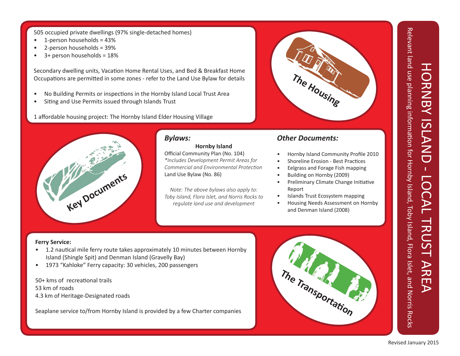Relevant land use planning information for Hornby Island, Toby Island, Flora Islet, and Norris Rocks Relevant land use planning information for Hornby ISLAND - LOCAL TRUST AREA Relevant land use planning information for Hornby Island, Toby Island, Flora Islet, and Norris Rocks HORNBY ISLAND  $\mathbf{T}$ LOCAL TRUST **AREA** 

505 occupied private dwellings (97% single-detached homes)

- 1-person households = 43%
- 2-person households = 39%
- 3+ person households = 18%

Secondary dwelling units, Vacation Home Rental Uses, and Bed & Breakfast Home Occupations are permitted in some zones - refer to the Land Use Bylaw for details

- No Building Permits or inspections in the Hornby Island Local Trust Area
- Siting and Use Permits issued through Islands Trust

1 affordable housing project: The Hornby Island Elder Housing Village



#### *Bylaws:*

**Hornby Island** Official Community Plan (No. 104) *\*Includes Development Permit Areas for Commercial and Environmental Protection* Land Use Bylaw (No. 86)

*Note: The above bylaws also apply to: Toby Island, Flora Islet, and Norris Rocks to regulate land use and development*

#### *Other Documents:*

- Hornby Island Community Profile 2010
- Shoreline Erosion Best Practices
- Eelgrass and Forage Fish mapping

**The Housing**

- Building on Hornby (2009)
- Preliminary Climate Change Initiative Report
- Islands Trust Ecosystem mapping
- Housing Needs Assessment on Hornby and Denman Island (2008)

#### **Ferry Service:**

- 1.2 nautical mile ferry route takes approximately 10 minutes between Hornby Island (Shingle Spit) and Denman Island (Gravelly Bay)
- 1973 "Kahloke" Ferry capacity: 30 vehicles, 200 passengers

50+ kms of recreational trails 53 km of roads 4.3 km of Heritage-Designated roads

Seaplane service to/from Hornby Island is provided by a few Charter companies

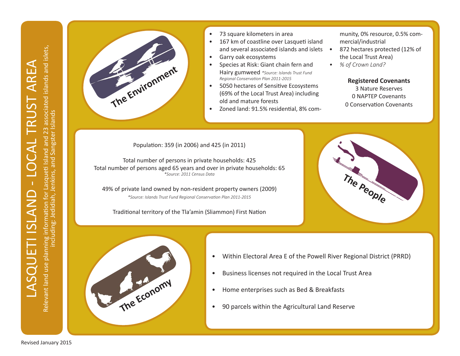including: Jedidiah, Jenkins, and Sangster Islands



- 73 square kilometers in area
- 167 km of coastline over Lasqueti island and several associated islands and islets •
- Garry oak ecosystems
- Species at Risk: Giant chain fern and Hairy gumweed *\*Source: Islands Trust Fund Regional Conservation Plan 2011-2015*
- 5050 hectares of Sensitive Ecosystems (69% of the Local Trust Area) including old and mature forests
- Zoned land: 91.5% residential, 8% com-

munity, 0% resource, 0.5% commercial/industrial

- 872 hectares protected (12% of the Local Trust Area)
- *• % of Crown Land?*

**Registered Covenants** 3 Nature Reserves 0 NAPTEP Covenants 0 Conservation Covenants

Population: 359 (in 2006) and 425 (in 2011)

Total number of persons in private households: 425 Total number of persons aged 65 years and over in private households: 65 *\*Source: 2011 Census Data*

49% of private land owned by non-resident property owners (2009) *\*Source: Islands Trust Fund Regional Conservation Plan 2011-2015*

Traditional territory of the Tla'amin (Sliammon) First Nation





- Within Electoral Area E of the Powell River Regional District (PRRD)
- Business licenses not required in the Local Trust Area
- Home enterprises such as Bed & Breakfasts
- 90 parcels within the Agricultural Land Reserve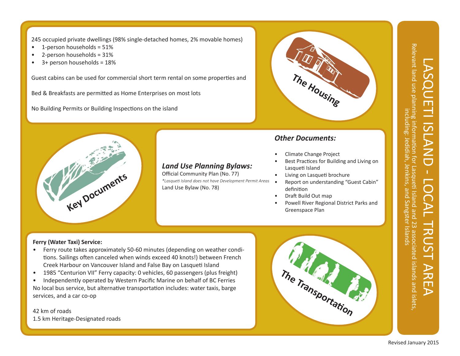245 occupied private dwellings (98% single-detached homes, 2% movable homes)

- 1-person households = 51%
- 2-person households = 31%
- 3+ person households = 18%

Guest cabins can be used for commercial short term rental on some properties and

Bed & Breakfasts are permitted as Home Enterprises on most lots

No Building Permits or Building Inspections on the island



### *Land Use Planning Bylaws:*

Official Community Plan (No. 77) *\*Lasqueti Island does not have Development Permit Areas* Land Use Bylaw (No. 78)



#### *Other Documents:*

- Climate Change Project
- Best Practices for Building and Living on Lasqueti Island
- Living on Lasqueti brochure
- Report on understanding "Guest Cabin" definition
- Draft Build Out map
- Powell River Regional District Parks and Greenspace Plan

#### **Ferry (Water Taxi) Service:**

- Ferry route takes approximately 50-60 minutes (depending on weather conditions. Sailings often canceled when winds exceed 40 knots!) between French Creek Harbour on Vancouver Island and False Bay on Lasqueti Island
- 1985 "Centurion VII" Ferry capacity: 0 vehicles, 60 passengers (plus freight)
- Independently operated by Western Pacific Marine on behalf of BC Ferries No local bus service, but alternative transportation includes: water taxis, barge services, and a car co-op

42 km of roads 1.5 km Heritage-Designated roads



Jenkins,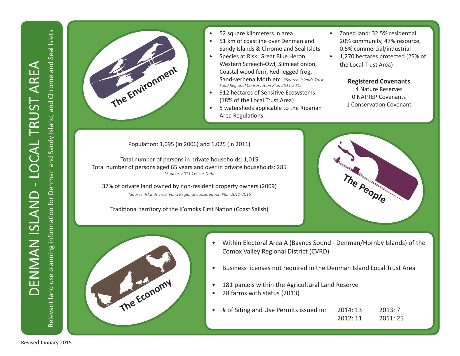Relevant land use planning information for Denman and Sandy Island, and Chrome and Seal Islets

Relevant land use planning information for Denman and Sandy Island, and Chrome and Seal Islets



- 52 square kilometers in area
- 51 km of coastline over Denman and Sandy Islands & Chrome and Seal Islets
- Species at Risk: Great Blue Heron, Western Screech-Owl, Slimleaf onion, Coastal wood fern, Red-legged frog, Sand-verbena Moth etc. *\*Source: Islands Trust Fund Regional Conservation Plan 2011-2015*
- 912 hectares of Sensitive Ecosystems (18% of the Local Trust Area)
- 5 watersheds applicable to the Riparian Area Regulations
- Zoned land: 32.5% residential. 20% community, 47% resource, 0.5% commercial/industrial
- 1,270 hectares protected (25% of the Local Trust Area)

**Registered Covenants** 4 Nature Reserves 0 NAPTEP Covenants 1 Conservation Covenant

Population: 1,095 (in 2006) and 1,025 (in 2011)

Total number of persons in private households: 1,015 Total number of persons aged 65 years and over in private households: 285 *\*Source: 2011 Census Data*

37% of private land owned by non-resident property owners (2009) *\*Source: Islands Trust Fund Regional Conservation Plan 2011-2015*

Traditional territory of the K'omoks First Nation (Coast Salish)





- Within Electoral Area A (Baynes Sound Denman/Hornby Islands) of the Comox Valley Regional District (CVRD)
- Business licenses not required in the Denman Island Local Trust Area
- 181 parcels within the Agricultural Land Reserve
- 28 farms with status (2013)
- # of Siting and Use Permits issued in: 2014: 13 2013: 7 2012: 11 2011: 25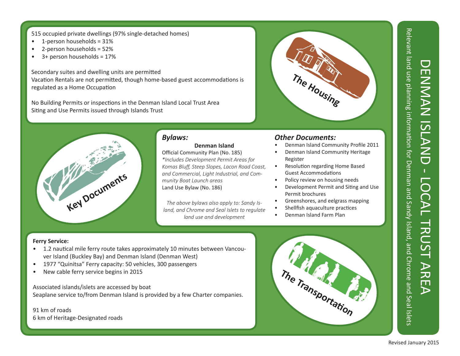#### 515 occupied private dwellings (97% single-detached homes)

- $\bullet$  1-person households = 31%
- 2-person households = 52%
- $\bullet$  3+ person households = 17%

Secondary suites and dwelling units are permitted Vacation Rentals are not permitted, though home-based guest accommodations is regulated as a Home Occupation

No Building Permits or inspections in the Denman Island Local Trust Area Siting and Use Permits issued through Islands Trust



*The above bylaws also apply to: Sandy Island, and Chrome and Seal Islets to regulate land use and development*

#### *Other Documents:*

- Denman Island Community Profile 2011
- Denman Island Community Heritage Register

**The Housing**

- Resolution regarding Home Based Guest Accommodations
- Policy review on housing needs
- Development Permit and Siting and Use Permit brochures
- Greenshores, and eelgrass mapping
- Shellfish aquaculture practices
- Denman Island Farm Plan

#### **Ferry Service:**

- 1.2 nautical mile ferry route takes approximately 10 minutes between Vancouver Island (Buckley Bay) and Denman Island (Denman West)
- 1977 "Quinitsa" Ferry capacity: 50 vehicles, 300 passengers
- New cable ferry service begins in 2015

#### Associated islands/islets are accessed by boat Seaplane service to/from Denman Island is provided by a few Charter companies.

91 km of roads 6 km of Heritage-Designated roads



DENMAN ISLAND - LOCAL TRUST AREA

DO

 $\geq$ 

 $\blacktriangleright$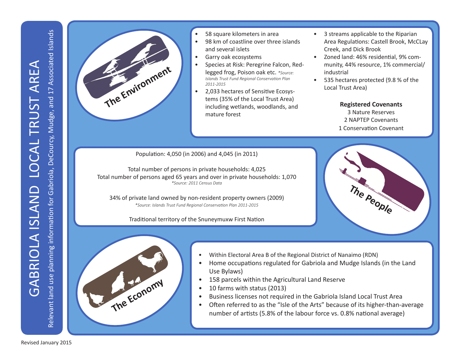

- 58 square kilometers in area
- 98 km of coastline over three islands and several islets
- Garry oak ecosystems
- Species at Risk: Peregrine Falcon, Redlegged frog, Poison oak etc. *\*Source: Islands Trust Fund Regional Conservation Plan 2011-2015*
- 2,033 hectares of Sensitive Ecosystems (35% of the Local Trust Area) including wetlands, woodlands, and mature forest
- 3 streams applicable to the Riparian Area Regulations: Castell Brook, McCLay Creek, and Dick Brook
- Zoned land: 46% residential, 9% community, 44% resource, 1% commercial/ industrial
- 535 hectares protected (9.8 % of the Local Trust Area)

**Registered Covenants** 3 Nature Reserves 2 NAPTEP Covenants 1 Conservation Covenant

**The People**

Population: 4,050 (in 2006) and 4,045 (in 2011)

Total number of persons in private households: 4,025 Total number of persons aged 65 years and over in private households: 1,070 *\*Source: 2011 Census Data*

34% of private land owned by non-resident property owners (2009) *\*Source: Islands Trust Fund Regional Conservation Plan 2011-2015*

Traditional territory of the Snuneymuxw First Nation



- Within Electoral Area B of the Regional District of Nanaimo (RDN)
- Home occupations regulated for Gabriola and Mudge Islands (in the Land Use Bylaws)
- 158 parcels within the Agricultural Land Reserve
- 10 farms with status (2013)
- Business licenses not required in the Gabriola Island Local Trust Area
- Often referred to as the "Isle of the Arts" because of its higher-than-average number of artists (5.8% of the labour force vs. 0.8% national average)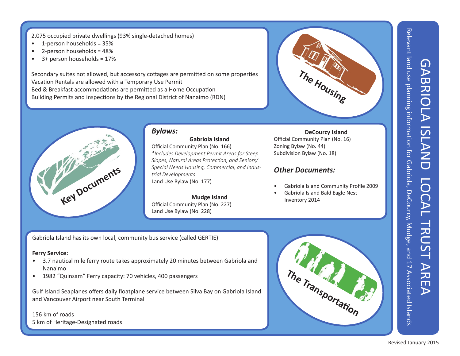GABRIOLA ISLAND LOCAL TRUST AREA <u> (၂</u> **ABRIC**  $\blacktriangleright$ **ISLAND** DO  $\mathsf P$ TRUST **NRE**  $\blacktriangleright$ 

Relevant land use planning information for Gabriola, DeCourcy, Mudge, and 17 Associated Islands Relevant land use planning information for Gabriola, DeCourcy, Mudge, and 17 Associated Islands

2,075 occupied private dwellings (93% single-detached homes)

- 1-person households = 35%
- 2-person households = 48%
- $\bullet$  3+ person households = 17%

Secondary suites not allowed, but accessory cottages are permitted on some properties Vacation Rentals are allowed with a Temporary Use Permit Bed & Breakfast accommodations are permitted as a Home Occupation Building Permits and inspections by the Regional District of Nanaimo (RDN)





#### *Bylaws:*

**Gabriola Island** Official Community Plan (No. 166) *\*Includes Development Permit Areas for Steep Slopes, Natural Areas Protection, and Seniors/ Special Needs Housing, Commercial, and Industrial Developments* Land Use Bylaw (No. 177)

#### **Mudge Island**

Official Community Plan (No. 227) Land Use Bylaw (No. 228)

#### **DeCourcy Island**

Official Community Plan (No. 16) Zoning Bylaw (No. 44) Subdivision Bylaw (No. 18)

#### *Other Documents:*

- Gabriola Island Community Profile 2009
- Gabriola Island Bald Eagle Nest Inventory 2014

Gabriola Island has its own local, community bus service (called GERTIE)

#### **Ferry Service:**

- 3.7 nautical mile ferry route takes approximately 20 minutes between Gabriola and Nanaimo
- 1982 "Quinsam" Ferry capacity: 70 vehicles, 400 passengers

Gulf Island Seaplanes offers daily floatplane service between Silva Bay on Gabriola Island and Vancouver Airport near South Terminal

#### 156 km of roads 5 km of Heritage-Designated roads

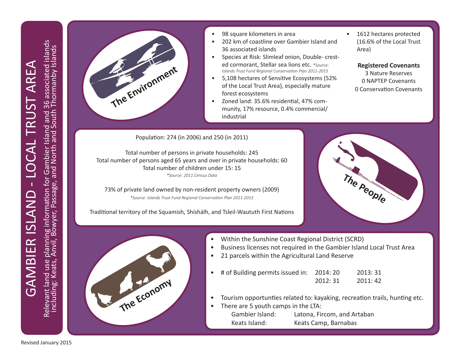

- 98 square kilometers in area
- 202 km of coastline over Gambier Island and 36 associated islands
- Species at Risk: Slimleaf onion, Double- crested cormorant, Stellar sea lions etc. *\*Source: Islands Trust Fund Regional Conservation Plan 2011-2015*
- 5,108 hectares of Sensitive Ecosystems (52% of the Local Trust Area), especially mature forest ecosystems
- Zoned land: 35.6% residential, 47% community, 17% resource, 0.4% commercial/ industrial

1612 hectares protected (16.6% of the Local Trust Area)

**Registered Covenants** 3 Nature Reserves 0 NAPTEP Covenants 0 Conservation Covenants

Population: 274 (in 2006) and 250 (in 2011)

Total number of persons in private households: 245 Total number of persons aged 65 years and over in private households: 60 Total number of children under 15: 15 *\*Source: 2011 Census Data*

73% of private land owned by non-resident property owners (2009) *\*Source: Islands Trust Fund Regional Conservation Plan 2011-2015*

Traditional territory of the Squamish, Shíshálh, and Tsleil-Waututh First Nations





- Within the Sunshine Coast Regional District (SCRD)
- Business licenses not required in the Gambier Island Local Trust Area
- 21 parcels within the Agricultural Land Reserve
- # of Building permits issued in: 2014: 20 2013: 31 2012: 31 2011: 42
- Tourism opportunties related to: kayaking, recreation trails, hunting etc.
- There are 5 youth camps in the LTA: Gambier Island: Latona, Fircom, and Artaban Keats Island: Keats Camp, Barnabas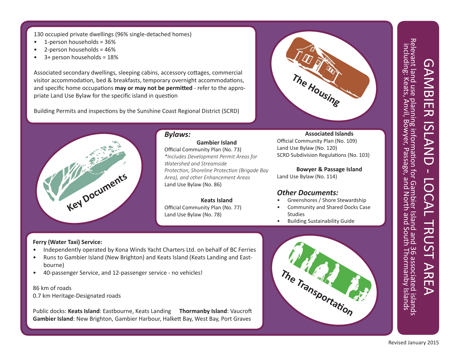130 occupied private dwellings (96% single-detached homes)

- 1-person households = 36%
- 2-person households = 46%
- 3+ person households = 18%

Associated secondary dwellings, sleeping cabins, accessory cottages, commercial visitor accommodation, bed & breakfasts, temporary overnight accommodations, and specific home occupations **may or may not be permitted** - refer to the appropriate Land Use Bylaw for the specific island in question

Building Permits and inspections by the Sunshine Coast Regional District (SCRD)





#### *Bylaws:*

**Gambier Island** Official Community Plan (No. 73) *\*Includes Development Permit Areas for Watershed and Streamside Protection, Shoreline Protection (Brigade Bay Area), and other Enhancement Areas* Land Use Bylaw (No. 86)

**Keats Island** Official Community Plan (No. 77) Land Use Bylaw (No. 78)

#### **Associated Islands**

Official Community Plan (No. 109) Land Use Bylaw (No. 120) SCRD Subdivision Regulations (No. 103)

**Bowyer & Passage Island** Land Use Bylaw (No. 114)

#### *Other Documents:*

- Greenshores / Shore Stewardship
- Community and Shared Docks Case Studies
- Building Sustainability Guide

#### **Ferry (Water Taxi) Service:**

- Independently operated by Kona Winds Yacht Charters Ltd. on behalf of BC Ferries
- Runs to Gambier Island (New Brighton) and Keats Island (Keats Landing and Eastbourne)
- 40-passenger Service, and 12-passenger service no vehicles!

#### 86 km of roads

0.7 km Heritage-Designated roads

Public docks: **Keats Island**: Eastbourne, Keats Landing **Thormanby Island**: Vaucroft **Gambier Island**: New Brighton, Gambier Harbour, Halkett Bay, West Bay, Port Graves



# GAMBIER ISLAND - LOCAL TRUST AREA Relevant land use planning information for Gambier Island 36 associated islands including: Keats, Anvil, Bowyer, Passage, and North and South Thormanby Islands including: Keats, Anvil, Bow Relevant land use planning information for Gambier Island and 36 associated islands<br>including: Keats, Anvil, Bowyer, Passage, and North and South Thormanby Islands **GAMANER ISLAND**  $\Gamma$  $\overline{O}$ . TRUST **ARE**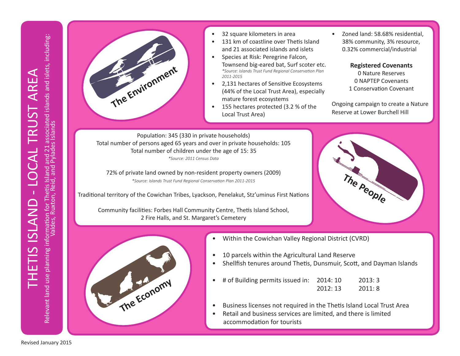

- 32 square kilometers in area
- 131 km of coastline over Thetis Island and 21 associated islands and islets
- Species at Risk: Peregrine Falcon, Townsend big-eared bat, Surf scoter etc. *\*Source: Islands Trust Fund Regional Conservation Plan 2011-2015*
- 2,131 hectares of Sensitive Ecosystems (44% of the Local Trust Area), especially mature forest ecosystems
- 155 hectares protected (3.2 % of the Local Trust Area)

• Zoned land: 58.68% residential, 38% community, 3% resource, 0.32% commercial/industrial

> **Registered Covenants** 0 Nature Reserves 0 NAPTEP Covenants 1 Conservation Covenant

Ongoing campaign to create a Nature Reserve at Lower Burchell Hill

Population: 345 (330 in private households) Total number of persons aged 65 years and over in private households: 105 Total number of children under the age of 15: 35 *\*Source: 2011 Census Data*

72% of private land owned by non-resident property owners (2009) *\*Source: Islands Trust Fund Regional Conservation Plan 2011-2015*

Traditional territory of the Cowichan Tribes, Lyackson, Penelakut, Stz'uminus First Nations

Community facilities: Forbes Hall Community Centre, Thetis Island School, 2 Fire Halls, and St. Margaret's Cemetery





- Within the Cowichan Valley Regional District (CVRD)
- 10 parcels within the Agricultural Land Reserve
- Shellfish tenures around Thetis, Dunsmuir, Scott, and Dayman Islands
- # of Building permits issued in: 2014: 10 2013: 3 2012: 13 2011: 8
- Business licenses not required in the Thetis Island Local Trust Area
- Retail and business services are limited, and there is limited accommodation for tourists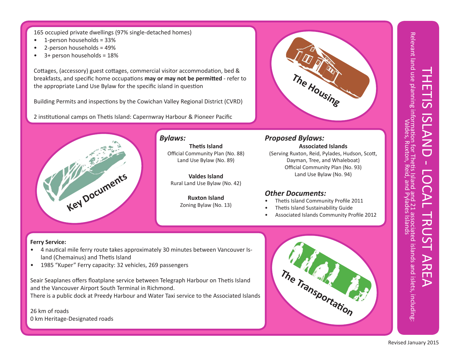165 occupied private dwellings (97% single-detached homes)

- 1-person households = 33%
- 2-person households = 49%
- 3+ person households = 18%

Cottages, (accessory) guest cottages, commercial visitor accommodation, bed & breakfasts, and specific home occupations **may or may not be permitted** - refer to the appropriate Land Use Bylaw for the specific island in question

Building Permits and inspections by the Cowichan Valley Regional District (CVRD)

2 institutional camps on Thetis Island: Capernwray Harbour & Pioneer Pacific



#### *Bylaws:*

**Thetis Island** Official Community Plan (No. 88) Land Use Bylaw (No. 89)

**Valdes Island** Rural Land Use Bylaw (No. 42)

> **Ruxton Island** Zoning Bylaw (No. 13)



#### *Proposed Bylaws:* **Associated Islands** (Serving Ruxton, Reid, Pylades, Hudson, Scott,

Dayman, Tree, and Whaleboat) Official Community Plan (No. 93) Land Use Bylaw (No. 94)

#### *Other Documents:*

- Thetis Island Community Profile 2011
- Thetis Island Sustainability Guide
- Associated Islands Community Profile 2012

#### **Ferry Service:**

- 4 nautical mile ferry route takes approximately 30 minutes between Vancouver Island (Chemainus) and Thetis Island
- 1985 "Kuper" Ferry capacity: 32 vehicles, 269 passengers

Seair Seaplanes offers floatplane service between Telegraph Harbour on Thetis Island and the Vancouver Airport South Terminal in Richmond. There is a public dock at Preedy Harbour and Water Taxi service to the Associated Islands

26 km of roads 0 km Heritage-Designated roads

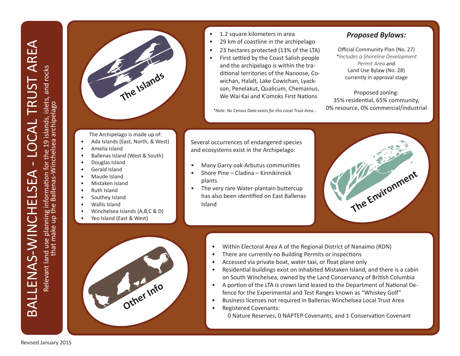Relevant land use planning information for the 19 islands, islets, and rocks<br>that make up the Ballenas-Winchelsea archipelago Relevant land use planning information for the 19 islands, islets, and rocks that make up the Ballenas-Winchelsea archipelago



- 1.2 square kilometers in area
- 29 km of coastline in the archipelago
- 23 hectares protected (13% of the LTA)
- First settled by the Coast Salish people and the archipelago is within the traditional territories of the Nanoose, Cowichan, Halalt, Lake Cowichan, Lyackson, Penelakut, Qualicum, Chemainus, We Wai Kai and K'omoks First Nations

*\*Note: No Census Data exists for this Local Trust Area...*

#### *Proposed Bylaws:*

Official Community Plan (No. 27) *\*Includes a Shoreline Development Permit Area* and Land Use Bylaw (No. 28) currently in approval stage

Proposed zoning: 35% residential, 65% community, 0% resource, 0% commercial/industrial

Several occurrences of endangered species and ecosystems exist in the Archipelago:

- Many Garry oak-Arbutus communities
- Shore Pine Cladina Kinnikinnick plants
- The very rare Water-plantain buttercup has also been identified on East Ballenas Island





- Within Electoral Area A of the Regional District of Nanaimo (RDN)
- There are currently no Building Permits or inspections
- Accessed via private boat, water taxi, or float plane only
- Residential buildings exist on inhabited Mistaken Island, and there is a cabin on South Winchelsea, owned by the Land Conservancy of British Columbia
- A portion of the LTA is crown land leased to the Department of National Defence for the Experimental and Test Ranges known as "Whiskey Golf"
- Business licenses not required in Ballenas-Winchelsea Local Trust Area
- Registered Covenants:

0 Nature Reserves, 0 NAPTEP Covenants, and 1 Conservation Covenant